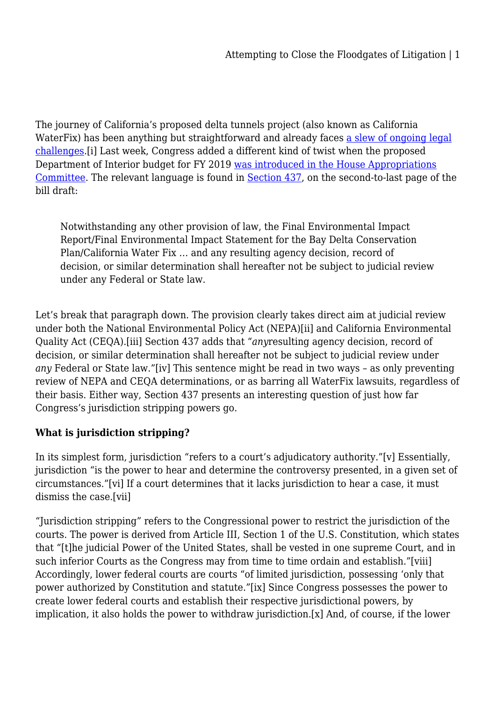The journey of California's proposed delta tunnels project (also known as California WaterFix) has been anything but straightforward and already faces [a slew of ongoing legal](https://www.eenews.net/stories/1060082265) [challenges](https://www.eenews.net/stories/1060082265).[i] Last week, Congress added a different kind of twist when the proposed Department of Interior budget for FY 2019 [was introduced in the House Appropriations](http://www.sacbee.com/latest-news/article211161939.html) [Committee.](http://www.sacbee.com/latest-news/article211161939.html) The relevant language is found in [Section 437](https://docs.house.gov/meetings/AP/AP06/20180515/108314/BILLS-115-FC-AP-FY2019-Interior-InteriorBill.pdf), on the second-to-last page of the bill draft:

Notwithstanding any other provision of law, the Final Environmental Impact Report/Final Environmental Impact Statement for the Bay Delta Conservation Plan/California Water Fix … and any resulting agency decision, record of decision, or similar determination shall hereafter not be subject to judicial review under any Federal or State law.

Let's break that paragraph down. The provision clearly takes direct aim at judicial review under both the National Environmental Policy Act (NEPA)[ii] and California Environmental Quality Act (CEQA).[iii] Section 437 adds that "*any*resulting agency decision, record of decision, or similar determination shall hereafter not be subject to judicial review under *any* Federal or State law."[iv] This sentence might be read in two ways – as only preventing review of NEPA and CEQA determinations, or as barring all WaterFix lawsuits, regardless of their basis. Either way, Section 437 presents an interesting question of just how far Congress's jurisdiction stripping powers go.

# **What is jurisdiction stripping?**

In its simplest form, jurisdiction "refers to a court's adjudicatory authority."[v] Essentially, jurisdiction "is the power to hear and determine the controversy presented, in a given set of circumstances."[vi] If a court determines that it lacks jurisdiction to hear a case, it must dismiss the case.[vii]

"Jurisdiction stripping" refers to the Congressional power to restrict the jurisdiction of the courts. The power is derived from Article III, Section 1 of the U.S. Constitution, which states that "[t]he judicial Power of the United States, shall be vested in one supreme Court, and in such inferior Courts as the Congress may from time to time ordain and establish."[viii] Accordingly, lower federal courts are courts "of limited jurisdiction, possessing 'only that power authorized by Constitution and statute."[ix] Since Congress possesses the power to create lower federal courts and establish their respective jurisdictional powers, by implication, it also holds the power to withdraw jurisdiction.[x] And, of course, if the lower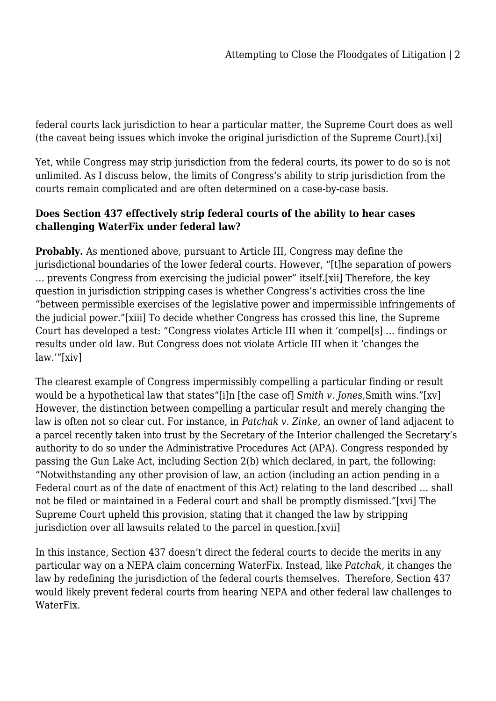federal courts lack jurisdiction to hear a particular matter, the Supreme Court does as well (the caveat being issues which invoke the original jurisdiction of the Supreme Court).[xi]

Yet, while Congress may strip jurisdiction from the federal courts, its power to do so is not unlimited. As I discuss below, the limits of Congress's ability to strip jurisdiction from the courts remain complicated and are often determined on a case-by-case basis.

## **Does Section 437 effectively strip federal courts of the ability to hear cases challenging WaterFix under federal law?**

**Probably.** As mentioned above, pursuant to Article III, Congress may define the jurisdictional boundaries of the lower federal courts. However, "[t]he separation of powers … prevents Congress from exercising the judicial power" itself.[xii] Therefore, the key question in jurisdiction stripping cases is whether Congress's activities cross the line "between permissible exercises of the legislative power and impermissible infringements of the judicial power."[xiii] To decide whether Congress has crossed this line, the Supreme Court has developed a test: "Congress violates Article III when it 'compel[s] … findings or results under old law. But Congress does not violate Article III when it 'changes the law.'"[xiv]

The clearest example of Congress impermissibly compelling a particular finding or result would be a hypothetical law that states"[i]n [the case of] *Smith v. Jones,*Smith wins."[xv] However, the distinction between compelling a particular result and merely changing the law is often not so clear cut. For instance, in *Patchak v. Zinke,* an owner of land adjacent to a parcel recently taken into trust by the Secretary of the Interior challenged the Secretary's authority to do so under the Administrative Procedures Act (APA). Congress responded by passing the Gun Lake Act, including Section 2(b) which declared, in part, the following: "Notwithstanding any other provision of law, an action (including an action pending in a Federal court as of the date of enactment of this Act) relating to the land described … shall not be filed or maintained in a Federal court and shall be promptly dismissed."[xvi] The Supreme Court upheld this provision, stating that it changed the law by stripping jurisdiction over all lawsuits related to the parcel in question.[xvii]

In this instance, Section 437 doesn't direct the federal courts to decide the merits in any particular way on a NEPA claim concerning WaterFix. Instead, like *Patchak,* it changes the law by redefining the jurisdiction of the federal courts themselves. Therefore, Section 437 would likely prevent federal courts from hearing NEPA and other federal law challenges to WaterFix.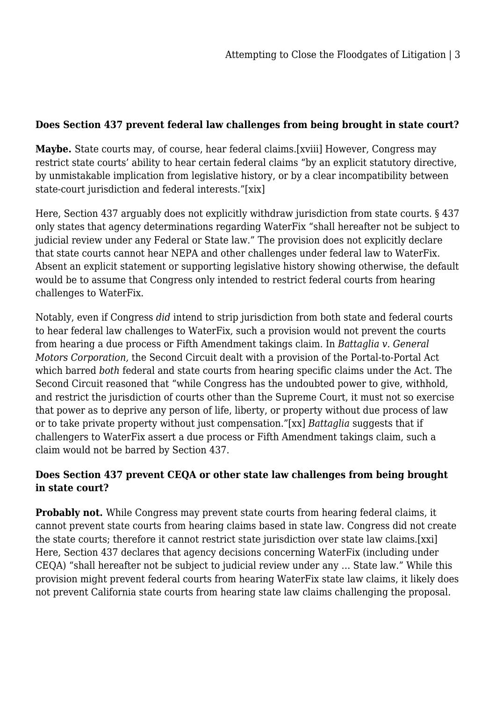### **Does Section 437 prevent federal law challenges from being brought in state court?**

**Maybe.** State courts may, of course, hear federal claims.[xviii] However, Congress may restrict state courts' ability to hear certain federal claims "by an explicit statutory directive, by unmistakable implication from legislative history, or by a clear incompatibility between state-court jurisdiction and federal interests."[xix]

Here, Section 437 arguably does not explicitly withdraw jurisdiction from state courts. § 437 only states that agency determinations regarding WaterFix "shall hereafter not be subject to judicial review under any Federal or State law." The provision does not explicitly declare that state courts cannot hear NEPA and other challenges under federal law to WaterFix. Absent an explicit statement or supporting legislative history showing otherwise, the default would be to assume that Congress only intended to restrict federal courts from hearing challenges to WaterFix.

Notably, even if Congress *did* intend to strip jurisdiction from both state and federal courts to hear federal law challenges to WaterFix, such a provision would not prevent the courts from hearing a due process or Fifth Amendment takings claim. In *Battaglia v. General Motors Corporation,* the Second Circuit dealt with a provision of the Portal-to-Portal Act which barred *both* federal and state courts from hearing specific claims under the Act. The Second Circuit reasoned that "while Congress has the undoubted power to give, withhold, and restrict the jurisdiction of courts other than the Supreme Court, it must not so exercise that power as to deprive any person of life, liberty, or property without due process of law or to take private property without just compensation."[xx] *Battaglia* suggests that if challengers to WaterFix assert a due process or Fifth Amendment takings claim, such a claim would not be barred by Section 437.

### **Does Section 437 prevent CEQA or other state law challenges from being brought in state court?**

**Probably not.** While Congress may prevent state courts from hearing federal claims, it cannot prevent state courts from hearing claims based in state law. Congress did not create the state courts; therefore it cannot restrict state jurisdiction over state law claims.[xxi] Here, Section 437 declares that agency decisions concerning WaterFix (including under CEQA) "shall hereafter not be subject to judicial review under any … State law." While this provision might prevent federal courts from hearing WaterFix state law claims, it likely does not prevent California state courts from hearing state law claims challenging the proposal.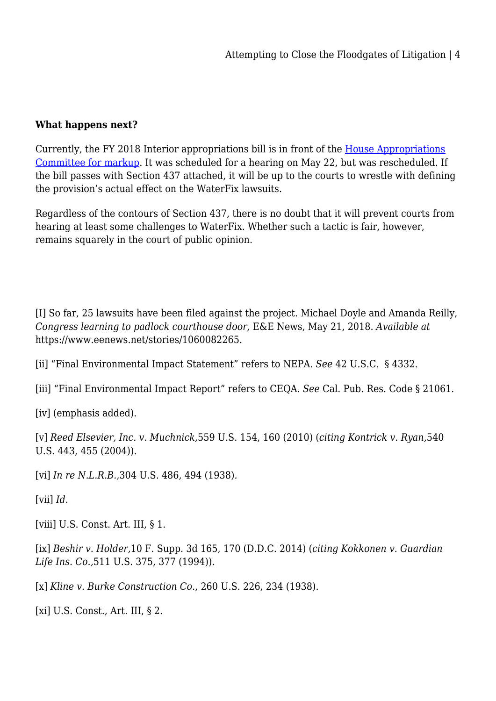#### **What happens next?**

Currently, the FY 2018 Interior appropriations bill is in front of the [House Appropriations](https://docs.house.gov/Committee/Calendar/ByEvent.aspx?EventID=108359) [Committee for markup](https://docs.house.gov/Committee/Calendar/ByEvent.aspx?EventID=108359). It was scheduled for a hearing on May 22, but was rescheduled. If the bill passes with Section 437 attached, it will be up to the courts to wrestle with defining the provision's actual effect on the WaterFix lawsuits.

Regardless of the contours of Section 437, there is no doubt that it will prevent courts from hearing at least some challenges to WaterFix. Whether such a tactic is fair, however, remains squarely in the court of public opinion.

[I] So far, 25 lawsuits have been filed against the project. Michael Doyle and Amanda Reilly, *Congress learning to padlock courthouse door,* E&E News, May 21, 2018. *Available at* https://www.eenews.net/stories/1060082265.

[ii] "Final Environmental Impact Statement" refers to NEPA. *See* 42 U.S.C. § 4332.

[iii] "Final Environmental Impact Report" refers to CEQA. *See* Cal. Pub. Res. Code § 21061.

[iv] (emphasis added).

[v] *Reed Elsevier, Inc. v. Muchnick,*559 U.S. 154, 160 (2010) (*citing Kontrick v. Ryan,*540 U.S. 443, 455 (2004)).

[vi] *In re N.L.R.B.,*304 U.S. 486, 494 (1938)*.*

 $\lceil \text{vii} \rceil$  *Id.* 

[viii] U.S. Const. Art. III, § 1.

[ix] *Beshir v. Holder,*10 F. Supp. 3d 165, 170 (D.D.C. 2014) (*citing Kokkonen v. Guardian Life Ins. Co.,*511 U.S. 375, 377 (1994)).

[x] *Kline v. Burke Construction Co.*, 260 U.S. 226, 234 (1938).

[xi] U.S. Const., Art. III, § 2.